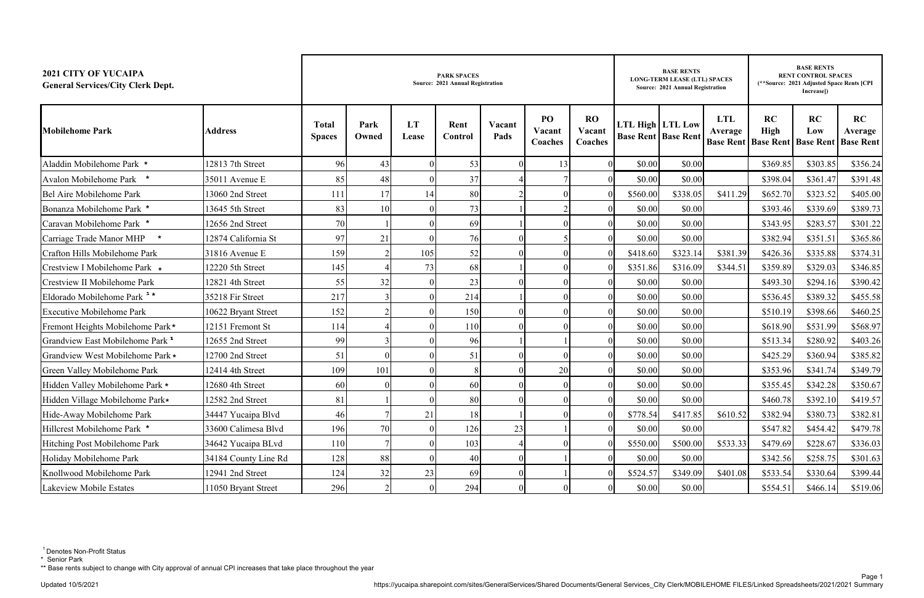| <b>2021 CITY OF YUCAIPA</b><br><b>General Services/City Clerk Dept.</b> |                      |                               |               |             | <b>PARK SPACES</b><br>Source: 2021 Annual Registration |                | <b>BASE RENTS</b><br><b>LONG-TERM LEASE (LTL) SPACES</b><br>Source: 2021 Annual Registration |                                |                         | <b>BASE RENTS</b><br><b>RENT CONTROL SPACES</b><br>(**Source: 2021 Adjusted Space Rents [CPI<br>Increasel) |                                           |                                                 |           |                                   |
|-------------------------------------------------------------------------|----------------------|-------------------------------|---------------|-------------|--------------------------------------------------------|----------------|----------------------------------------------------------------------------------------------|--------------------------------|-------------------------|------------------------------------------------------------------------------------------------------------|-------------------------------------------|-------------------------------------------------|-----------|-----------------------------------|
| <b>Mobilehome Park</b>                                                  | <b>Address</b>       | <b>Total</b><br><b>Spaces</b> | Park<br>Owned | LT<br>Lease | Rent<br><b>Control</b>                                 | Vacant<br>Pads | PO<br>Vacant<br>Coaches                                                                      | <b>RO</b><br>Vacant<br>Coaches | <b>LTL High LTL Low</b> | <b>Base Rent Base Rent</b>                                                                                 | <b>LTL</b><br>Average<br><b>Base Rent</b> | RC<br><b>High</b><br><b>Base Rent Base Rent</b> | RC<br>Low | RC<br>Average<br><b>Base Rent</b> |
| Aladdin Mobilehome Park *                                               | 12813 7th Street     | 96                            | 43            |             | 53                                                     |                | 13                                                                                           |                                | \$0.00                  | \$0.00                                                                                                     |                                           | \$369.85                                        | \$303.85  | \$356.24                          |
| Avalon Mobilehome Park *                                                | 35011 Avenue E       | 85                            | 48            |             | 37                                                     |                |                                                                                              |                                | \$0.00                  | \$0.00                                                                                                     |                                           | \$398.04                                        | \$361.47  | \$391.48                          |
| Bel Aire Mobilehome Park                                                | 13060 2nd Street     | 111                           | 17            | 14          | 80                                                     |                |                                                                                              |                                | \$560.00                | \$338.05                                                                                                   | \$411.29                                  | \$652.70                                        | \$323.52  | \$405.00                          |
| Bonanza Mobilehome Park *                                               | 13645 5th Street     | 83                            | 10            |             | 73                                                     |                |                                                                                              |                                | \$0.00                  | \$0.00                                                                                                     |                                           | \$393.46                                        | \$339.69  | \$389.73                          |
| Caravan Mobilehome Park *                                               | 12656 2nd Street     | 70                            |               |             | 69                                                     |                |                                                                                              |                                | \$0.00                  | \$0.00                                                                                                     |                                           | \$343.95                                        | \$283.57  | \$301.22                          |
| Carriage Trade Manor MHP                                                | 12874 California St  | 97                            | 21            |             | 76                                                     |                |                                                                                              |                                | \$0.00                  | \$0.00                                                                                                     |                                           | \$382.94                                        | \$351.51  | \$365.86                          |
| Crafton Hills Mobilehome Park                                           | 31816 Avenue E       | 159                           |               | 105         | 52                                                     |                |                                                                                              |                                | \$418.60                | \$323.14                                                                                                   | \$381.39                                  | \$426.36                                        | \$335.88  | \$374.31                          |
| Crestview I Mobilehome Park *                                           | 12220 5th Street     | 145                           |               | 73          | 68                                                     |                |                                                                                              |                                | \$351.86                | \$316.09                                                                                                   | \$344.51                                  | \$359.89                                        | \$329.03  | \$346.85                          |
| Crestview II Mobilehome Park                                            | 12821 4th Street     | 55                            | 32            |             | 23                                                     |                |                                                                                              |                                | \$0.00                  | \$0.00                                                                                                     |                                           | \$493.30                                        | \$294.16  | \$390.42                          |
| Eldorado Mobilehome Park <sup>1</sup> *                                 | 35218 Fir Street     | 217                           |               |             | 214                                                    |                |                                                                                              |                                | \$0.00                  | \$0.00                                                                                                     |                                           | \$536.45                                        | \$389.32  | \$455.58                          |
| <b>Executive Mobilehome Park</b>                                        | 10622 Bryant Street  | 152                           |               |             | 150                                                    |                |                                                                                              |                                | \$0.00                  | \$0.00                                                                                                     |                                           | \$510.19                                        | \$398.66  | \$460.25                          |
| Fremont Heights Mobilehome Park*                                        | 12151 Fremont St     | 114                           |               |             | 110                                                    |                |                                                                                              |                                | \$0.00                  | \$0.00                                                                                                     |                                           | \$618.90                                        | \$531.99  | \$568.97                          |
| Grandview East Mobilehome Park <sup>1</sup>                             | 12655 2nd Street     | 99                            |               |             | 96                                                     |                |                                                                                              |                                | \$0.00                  | \$0.00                                                                                                     |                                           | \$513.34                                        | \$280.92  | \$403.26                          |
| Grandview West Mobilehome Park *                                        | 12700 2nd Street     | 51                            |               |             | 51                                                     |                |                                                                                              |                                | \$0.00                  | \$0.00                                                                                                     |                                           | \$425.29                                        | \$360.94  | \$385.82                          |
| Green Valley Mobilehome Park                                            | 12414 4th Street     | 109                           | 101           |             |                                                        |                | 20                                                                                           |                                | \$0.00                  | \$0.00                                                                                                     |                                           | \$353.96                                        | \$341.74  | \$349.79                          |
| Hidden Valley Mobilehome Park *                                         | 12680 4th Street     | 60                            |               |             | 60                                                     |                |                                                                                              |                                | \$0.00                  | \$0.00                                                                                                     |                                           | \$355.45                                        | \$342.28  | \$350.67                          |
| Hidden Village Mobilehome Park*                                         | 12582 2nd Street     | 81                            |               |             | 80                                                     |                | $\theta$                                                                                     | $\Omega$                       | \$0.00                  | \$0.00                                                                                                     |                                           | \$460.78                                        | \$392.10  | \$419.57                          |
| Hide-Away Mobilehome Park                                               | 34447 Yucaipa Blvd   | 46                            |               | 21          | 18                                                     |                |                                                                                              |                                | \$778.54                | \$417.85                                                                                                   | \$610.52                                  | \$382.94                                        | \$380.73  | \$382.81                          |
| Hillcrest Mobilehome Park *                                             | 33600 Calimesa Blvd  | 196                           | 70            |             | 126                                                    | 23             |                                                                                              |                                | \$0.00                  | \$0.00                                                                                                     |                                           | \$547.82                                        | \$454.42  | \$479.78                          |
| Hitching Post Mobilehome Park                                           | 34642 Yucaipa BLvd   | 110                           |               |             | 103                                                    |                |                                                                                              |                                | \$550.00                | \$500.00                                                                                                   | \$533.33                                  | \$479.69                                        | \$228.67  | \$336.03                          |
| Holiday Mobilehome Park                                                 | 34184 County Line Rd | 128                           | 88            |             | 40                                                     |                |                                                                                              |                                | \$0.00                  | \$0.00                                                                                                     |                                           | \$342.56                                        | \$258.75  | \$301.63                          |
| Knollwood Mobilehome Park                                               | 12941 2nd Street     | 124                           | 32            | 23          | 69                                                     |                |                                                                                              |                                | \$524.57                | \$349.09                                                                                                   | \$401.08                                  | \$533.54                                        | \$330.64  | \$399.44                          |
| Lakeview Mobile Estates                                                 | 1050 Bryant Street   | 296                           |               | $\theta$    | 294                                                    |                |                                                                                              |                                | \$0.00                  | \$0.00                                                                                                     |                                           | \$554.51                                        | \$466.14  | \$519.06                          |

\*\* Base rents subject to change with City approval of annual CPI increases that take place throughout the year

<sup>&</sup>lt;sup>1</sup> Denotes Non-Profit Status

<sup>\*</sup> Senior Park